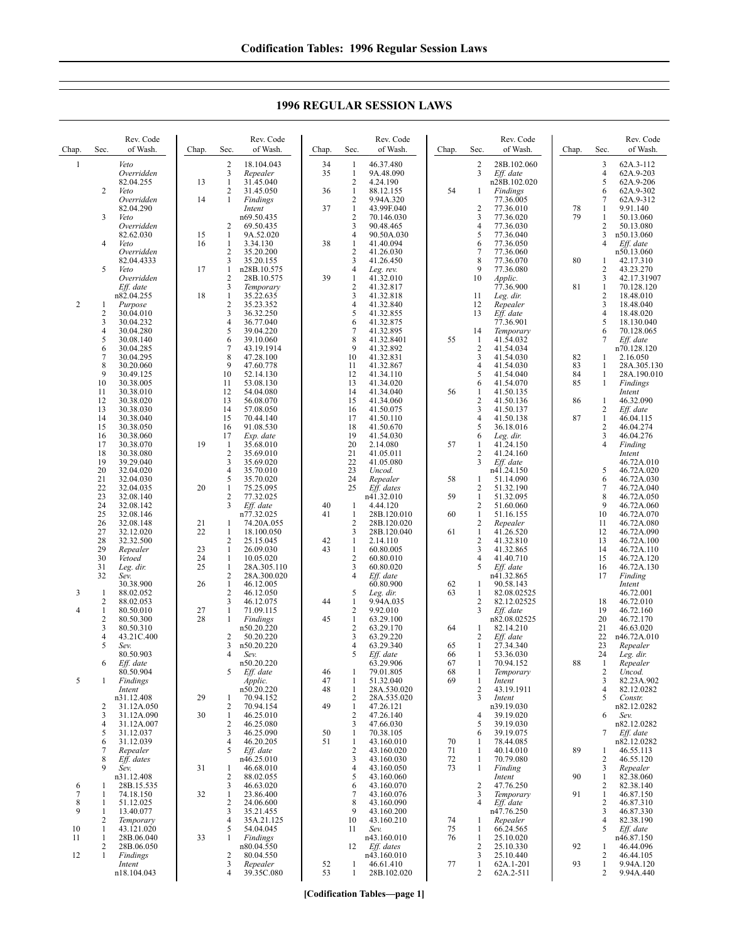Chap. Sec. Rev. Code of Wash. 1 *Veto Overridden* 82.04.255 2 *Veto Overridden* 82.04.290 3 *Veto Overridden* 82.62.030 4 *Veto Overridden* 82.04.4333 5 *Veto Overridden Eff. date* n82.04.255 2 1 *Purpose* 2 30.04.010 3 30.04.232<br>4 30.04.280  $\begin{array}{r} 4 & 30.04.280 \\ 5 & 30.08.140 \end{array}$  $\begin{array}{r} 5 & 30.08.140 \\ 6 & 30.04.285 \\ 7 & 30.04.295 \end{array}$ 30.04.285 7 30.04.295<br>8 30.20.060  $\begin{array}{@{}c@{}}8 & 30.20.060 \\ 9 & 30.49 & 125 \end{array}$ 9 30.49.125<br>10 30.38.005 10 30.38.005<br>11 30.38.010 11 30.38.010 12 30.38.020<br>13 30.38.030 13 30.38.030<br>14 30.38.040 14 30.38.040<br>15 30.38.050 15 30.38.050<br>16 30.38.060 16 30.38.060 17 30.38.070<br>18 30.38.080 18 30.38.080<br>19 39.29.040 19 39.29.040 20 32.04.020<br>21 32.04.030<br>22 32.04.035 32.04.030 22 32.04.035<br>23 32.08.140 23 32.08.140<br>24 32.08.142 24 32.08.142<br>25 32.08.146 25 32.08.146<br>26 32.08.148<br>27 32.12.020 26 32.08.148 27 32.12.020 28 32.32.500<br>29 *Repealer* 29 *Repealer* 30 *Vetoed* Leg. dir. 32 *Sev.* 30.38.900 3 1 88.02.052 2 88.02.053 4 1 80.50.010<br>2 80.50.300  $\frac{2}{3}$  80.50.300<br>3 80.50.310  $\overline{3}$  80.50.310<br>4 43.21C.40 4 43.21C.400<br>5 *Sev.* 5 *Sev.* 80.50.903 6 *Eff. date* 80.50.904 5 1 *Findings Intent* n31.12.408 2 31.12A.050<br>3 31.12A.090 3 31.12A.090<br>4 31.12A 007 31.12A.007 5 31.12.037 6 31.12.039<br>7 *Renealer* 7 *Repealer* 8 *Eff. dates* 9 *Sev.* n31.12.408 6 1 28B.15.535 7 1 74.18.150<br>8 1 51.12.025<br>9 1 13.40.077 51.12.025 1 13.40.077 2 *Temporary* 10 1 43.121.020<br>11 1 28B.06.040  $\frac{1}{2}$  28B.06.040 2 28B.06.050<br>1 *Findinos* 12 1 *Findings Intent* Chap. Sec. Rev. Code of Wash. 2 18.104.043<br>3 *Repealer* 3 *Repealer*  $\frac{1}{2}$   $\frac{31.45.040}{31.45.050}$ 2 31.45.050<br>1 *Findings* 14 1 *Findings Intent* n69.50.435  $\begin{array}{r} 2 & 69.50.435 \\ 1 & 9A.52.020 \end{array}$ 15 1 9A.52.020<br>16 1 3.34.130 3.34.130  $\begin{array}{r} 2 & 35.20.200 \\ 3 & 35.20.155 \end{array}$  $3\overline{)35.20.155}$ <br>1 n28B 10.57  $\frac{1}{2}$   $\frac{n28B.10.575}{28B.10.575}$ 2 28B.10.575 3 *Temporary* 18 1 35.22.635  $\frac{2}{3}$   $\frac{35.23.352}{36.32.250}$ 3 36.32.250<br>4 36.77.040 4 36.77.040<br>5 39.04.220 5 39.04.220  $6$  39.10.060<br>7 43.19.1914 7 43.19.1914<br>8 47.28.100 8 47.28.100<br>9 47.60.778 9 47.60.778<br>10 52.14.130 10 52.14.130<br>11 53.08.130 11 53.08.130<br>12 54.04.080 12 54.04.080 13 56.08.070<br>14 57.08.050 14 57.08.050<br>15 70.44.140 15 70.44.140<br>16 91.08.530 16 91.08.530<br>17 *Exp. date* 17 *Exp. date* 19 1 35.68.010  $\begin{array}{cc}\n 2 & 35.69.010 \\
 3 & 35.69.020\n \end{array}$ 3 35.69.020<br>4 35.70.010  $\frac{4}{5}$  35.70.010<br>5 35.70.020 5 35.70.020<br>1 75.25.095 20 1 75.25.095 2 77.32.025<br>3 *Eff. date* Eff. date n77.32.025 21 1 74.20A.055 22 1 18.100.050 2 25.15.045<br>1 26.09.030 23 1 26.09.030<br>24 1 10.05.020 24 1 10.05.020<br>25 1 28A.305.1 25 1 28A.305.110 2 28A.300.020 26  $\overline{1}$  46.12.005<br>2 46.12.050  $\begin{array}{cc}\n 2 & 46.12.050 \\
 3 & 46.12.075\n \end{array}$ 3 46.12.075 27 1 71.09.115<br>28 1 *Findings* 28 1 *Findings* n50.20.220  $\frac{2}{3}$   $\frac{50.20.220}{20}$ n50.20.220 4 *Sev.* n50.20.220 5 *Eff. date Applic.* n50.20.220 29 1 70.94.152<br>2 70.94.154  $\begin{bmatrix} 2 & 70.94.154 \\ 1 & 46.25.010 \end{bmatrix}$ 30 1 46.25.010<br>2 46.25.080<br>3 46.25.090 46.25.080 3 46.25.090  $446.20.205$ <br>5 *Fff date* 5 *Eff. date* n46.25.010 31 1 46.68.010 2 88.02.055 3 46.63.020<br>1 23.86.400 32 1 23.86.400  $\frac{2}{3}$  24.06.600 35.21.455 4 35A.21.125  $5 - 54.04.045$ <br>1 *Findinos* 33 1 *Findings* n80.04.550 2 80.04.550 3 *Repealer* Chap. Sec. Rev. Code of Wash. 34 1 46.37.480<br>35 1 9A.48.090 1 9A.48.090<br>2 4.24.190  $\begin{bmatrix} 2 & 4.24.190 \\ 1 & 88.12.15 \end{bmatrix}$ 36 1 88.12.155<br>2 9.94A 320 9.94A.320 37 1 43.99F.040 2 70.146.030<br>3 90.48.465 3 90.48.465<br>4 90.50A.03 4 90.50A.030<br>1 41.40.094 38 1 41.40.094 2 41.26.030<br>3 41.26.450 3 41.26.450<br>4 Leg. rev. 4 *Leg. rev.* 39 1 41.32.010 2 41.32.817<br>3 41.32.818 3 41.32.818  $4$  41.32.840<br>5 41.32.855 5 41.32.855 6 41.32.875<br>7 41.32.895 7 41.32.895<br>8 41.32.840 8 41.32.8401<br>9 41.32.892 9 41.32.892<br>10 41.32.831 10 41.32.831 11 41.32.867<br>12 41.34.110 12 41.34.110<br>13 41.34.020 13 41.34.020 14 41.34.040 15 41.34.060<br>16 41.50.075 16 41.50.075<br>17 41.50.110 17 41.50.110<br>18 41.50.670 18 41.50.670<br>19 41.54.030 19 41.54.030 20 2.14.080<br>21 41.05.01 21 41.05.011<br>22 41.05.080 22 41.05.080<br>23 *Uncod.* 23 *Uncod.* 24 *Repealer* 25 *Eff. dates* n41.32.010 40 1 4.44.120<br>41 1 28B.120. 28B.120.010 2 28B.120.020<br>3 28B.120.040  $\frac{288.120.020}{2.14.110}$ 42 1 2.14.110<br>43 1 60.80.00  $\frac{1}{2}$  60.80.005<br>60.80.010  $\begin{array}{cc}\n 2 & 60.80.010 \\
 3 & 60.80.020\n \end{array}$ 3 60.80.020<br>4 *Eff. date* 4 *Eff. date* 60.80.900 5 *Leg. dir.* 44 1 9.94A.035 2 9.92.010<br>1 63.29.100 45 1 63.29.100<br>2 63.29.170  $\begin{array}{r} 2 & 63.29.170 \\ 3 & 63.29.220 \end{array}$  $3$  63.29.220<br>4 63.29.340 63.29.340 5 *Eff. date* 63.29.906 46 1 79.01.805 51.32.040 48 1 28A.530.020 2 28A.535.020<br>1 47.26.121 49 1 47.26.121<br>2 47.26.140 2 47.26.140<br>3 47.66.030 3 47.66.030 50 1 70.38.105 51 1 43.160.010<br>2 43.160.020  $\begin{array}{cc}\n 2 & 43.160.020 \\
 3 & 43.160.030\n \end{array}$ 3 43.160.030 4 43.160.050 43.160.060  $\frac{6}{7}$   $\frac{43.160.070}{13.160.076}$ 7 43.160.076<br>8 43.160.090 8 43.160.090 9 43.160.200<br>10 43.160.210 10 43.160.210<br>11 Sev. 11 *Sev.*  $n\overline{43.160.010}$ 12 *Eff. dates* n<sub>43</sub> 160.010 52 1 46.61.410<br>53 1 28B.102.0 Chap. Sec. Rev. Code of Wash. 2 28B.102.060<br>3 Eff. date Eff. date n28B.102.020 54 1 *Findings* 77.36.005 2 77.36.010<br>3 77.36.020 3 77.36.020<br>4 77.36.030 4 77.36.030<br>5 77.36.040  $\begin{array}{r} 5 \\ 6 \end{array} \quad \begin{array}{r} 77.36.040 \\ 77.36.050 \end{array}$ 77.36.050 7 77.36.060<br>8 77.36.070<br>9 77.36.080 8 77.36.070 9 77.36.080<br>10 *Applic*. 10 *Applic.* 77.36.900 11 *Leg. dir.* 12 *Repealer* 13 *Eff. date* 77.36.901 14 *Temporary* 55 1 41.54.032  $\frac{2}{3}$  41.54.034  $\frac{3}{4}$   $\frac{41.54.030}{41.54.030}$  $\begin{bmatrix} 4 & 41.54.030 \\ 5 & 41.54.040 \end{bmatrix}$  $5$  41.54.040<br>6 41.54.070 6 41.54.070 56 1 41.50.135 2 41.50.136<br>3 41.50.137 3 41.50.137<br>4 41.50.138  $4$  41.50.138<br>5 36.18.016 5 36.18.016<br>6 Leg. dir. 6 *Leg. dir.* 57 1 41.24.150  $\frac{2}{3}$  41.24.160 Eff. date n41.24.150 58 1 51.14.090 2 51.32.190<br>1 51.32.095 59 1 51.32.095<br>2 51.60.060  $\begin{array}{r} 2 & 51.60.060 \\ 1 & 51.16.155 \end{array}$ 60 1 51.16.155 2 *Repealer* 61 1 41.26.520 2 41.32.810<br>3 41.32.865 3 41.32.865<br>4 41.40.710 4 41.40.710<br>5 *Eff. date* 5 *Eff. date* n41.32.865 62 1 90.58.143 82.08.02525 2 82.12.02525 3 *Eff. date* n82.08.02525 64 1 82.14.210<br>2 Eff. date 2 *Eff. date* 65 1 27.34.340 66 1 53.36.030 67 1 70.94.152<br>68 1 *Temporar* 68 1 *Temporary* 69 1 *Intent* 2 43.19.1911<br>3 *Intent* 3 *Intent* n39.19.030  $\frac{4}{5}$   $\frac{39.19.020}{39.19.030}$ 39.19.030 6 39.19.075 70 1 78.44.085 71 1 40.14.010<br>
72 1 70.79.080<br>
73 1 *Finding* 70.79.080 1 *Finding Intent* 2 47.76.250<br>3 Temporary 3 *Temporary* Eff. date n47.76.250 74 1 *Repealer* 66.24.565  $\frac{1}{2}$  25.10.020  $\frac{2}{3}$   $\frac{25.10.330}{25.10.440}$ 3 25.10.440 77 1 62A.1-201<br>2 62A.2-511 Chap. Sec. Rev. Code of Wash. 3 62A.3-112 4 62A.9-203<br>5 62A.9-206  $\begin{array}{r} 5 & 62A.9-206 \\ 6 & 62A.9-302 \end{array}$ 6 62A.9-302 62A.9-312 78 1 9.91.140  $\frac{1}{2}$  50.13.060  $\frac{2}{3}$   $\frac{50.13.080}{\text{n}50.13.060}$ 3 n50.13.060<br>4 Eff date Eff. date n50.13.060  $\begin{array}{ccc} 80 & 1 & 42.17.310 \\ 2 & 43.23.270 \end{array}$ 2 43.23.270<br>3 42.17.319 3 42.17.31907<br>1 70.128.120 81 1 70.128.120 2 18.48.010<br>3 18.48.040  $\frac{3}{4}$  18.48.040 4 18.48.020 5 18.130.040<br>6 70.128.065 6 70.128.065 Eff. date n70.128.120 82 1 2.16.050<br>83 1 28A 305 83 1 28A.305.130<br>84 1 28A.190.010 84 1 28A.190.010<br>85 1 *Findings*  $Findings$ *Intent*<br>
86 1 46.32.090 2 *Eff. date*  $\begin{array}{r}\n 87 \\
 \hline\n 2 \quad 46.04.115 \\
 \hline\n 2 \quad 46.04.274\n \end{array}$ 2 46.04.274<br>3 46.04.276<br>4 *Finding* 3 46.04.276 4 *Finding Intent* 46.72A.010 5 46.72A.020 6 46.72A.030 7 46.72A.040 8 46.72A.050 9 46.72A.060<br>10 46.72A.070 10 46.72A.070 11 46.72A.080<br>12 46.72A.090 12 46.72A.090<br>13 46.72A.100 13 46.72A.100<br>14 46.72A.110 14 46.72A.110<br>15 46.72A.120 15 46.72A.120<br>16 46.72A.130<br>17 *Finding* 16 46.72A.130 17 *Finding Intent* 46.72.001 18 46.72.010 19 46.72.160 20 46.72.170 21 46.63.020<br>22 n46.72A.01 22 n46.72A.010<br>23 Repealer 23 *Repealer* 24 *Leg. dir.* 88 1 *Repealer* 2 *Uncod.* 3 82.23A.902 4 82.12.0282<br>5 Constr. 5 *Constr.* n82.12.0282 6 *Sev.* n82.12.0282 7 *Eff. date* n82.12.0282 89 1 46.55.113<br>2 46.55.120 2 46.55.120<br>3 *Repealer* 3 *Repealer* 90 1 82.38.060 2 82.38.140<br>1 46.87.150 91 1 46.87.150<br>2 46.87.310  $\frac{2}{3}$  46.87.310 3 46.87.330 4 82.38.190<br>5 Eff. date 5 *Eff. date* n46.87.150 92 1 46.44.096<br>2 46.44.105 2 46.44.105 93 1 9.94A.120<br>2 9.94A.440

## **1996 REGULAR SESSION LAWS**

**[Codification Tables—page 1]**

1 28B.102.020

2 62A.2-511

2 9.94A.440

39.35C.080

n18.104.043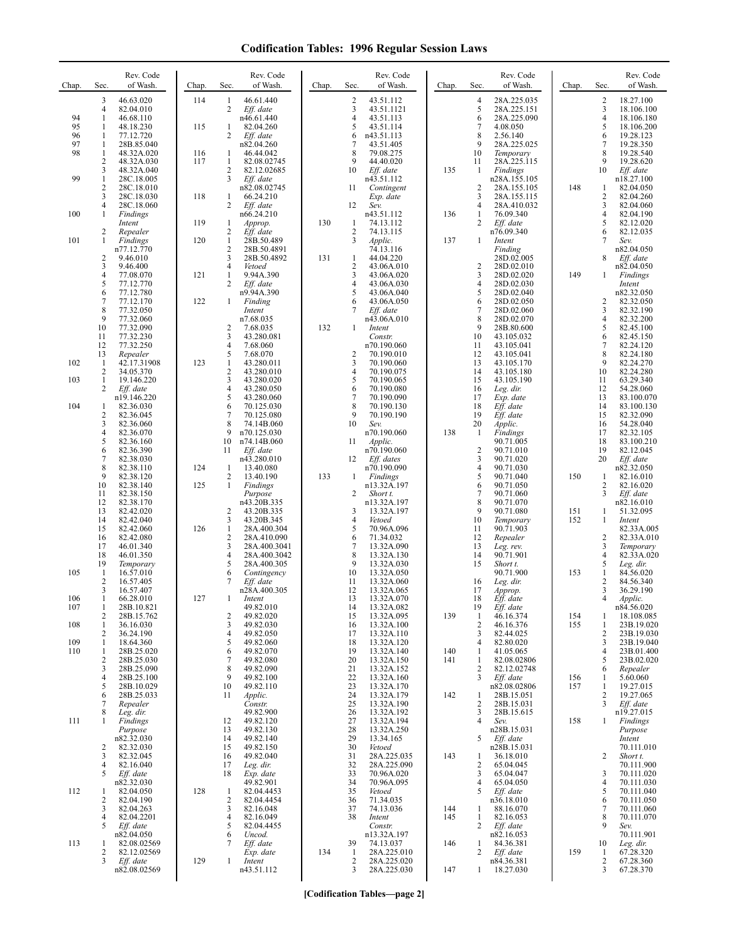| Chap.    | Sec.                         | Rev. Code<br>of Wash.      | Chap.      | Sec.                           | Rev. Code<br>of Wash.       | Chap. | Sec.              | Rev. Code<br>of Wash.     | Chap.      | Sec.                | Rev. Code<br>of Wash.       | Chap.      | Sec.              | Rev. Code<br>of Wash.    |
|----------|------------------------------|----------------------------|------------|--------------------------------|-----------------------------|-------|-------------------|---------------------------|------------|---------------------|-----------------------------|------------|-------------------|--------------------------|
|          | 3<br>$\overline{4}$          | 46.63.020                  | 114        | 1<br>$\overline{c}$            | 46.61.440                   |       | 2                 | 43.51.112                 |            | $\overline{4}$<br>5 | 28A.225.035                 |            | 2<br>3            | 18.27.100                |
| 94       | 1                            | 82.04.010<br>46.68.110     |            |                                | Eff. date<br>n46.61.440     |       | 3<br>4            | 43.51.1121<br>43.51.113   |            | 6                   | 28A.225.151<br>28A.225.090  |            | 4                 | 18.106.100<br>18.106.180 |
| 95<br>96 | 1<br>1                       | 48.18.230<br>77.12.720     | 115        | 1<br>2                         | 82.04.260<br>Eff. date      |       | 5<br>6            | 43.51.114<br>n43.51.113   |            | 7<br>8              | 4.08.050<br>2.56.140        |            | 5<br>6            | 18.106.200<br>19.28.123  |
| 97       | 1                            | 28B.85.040                 |            |                                | n82.04.260                  |       | 7                 | 43.51.405                 |            | 9                   | 28A.225.025                 |            | 7                 | 19.28.350                |
| 98       | 1<br>$\overline{c}$          | 48.32A.020<br>48.32A.030   | 116<br>117 | 1<br>$\mathbf{1}$              | 46.44.042<br>82.08.02745    |       | 8                 | 79.08.275<br>44.40.020    |            | 10<br>11            | Temporary<br>28A.225.115    |            | 8<br>9            | 19.28.540<br>19.28.620   |
|          | 3                            | 48.32A.040                 |            | 2                              | 82.12.02685                 |       | 10                | Eff. date                 | 135        | 1                   | <b>Findings</b>             |            | 10                | Eff. date                |
| 99       | $\mathbf{1}$<br>$\sqrt{2}$   | 28C.18.005<br>28C.18.010   |            | 3                              | Eff. date<br>n82.08.02745   |       | 11                | n43.51.112<br>Contingent  |            | $\overline{c}$      | n28A.155.105<br>28A.155.105 | 148        | 1                 | n18.27.100<br>82.04.050  |
|          | 3                            | 28C.18.030                 | 118        | 1                              | 66.24.210                   |       |                   | Exp. date                 |            | 3                   | 28A.155.115                 |            | 2                 | 82.04.260                |
| 100      | 4<br>1                       | 28C.18.060<br>Findings     |            | 2                              | Eff. date<br>n66.24.210     |       | 12                | Sev.<br>n43.51.112        | 136        | 4<br>1              | 28A.410.032<br>76.09.340    |            | 3<br>4            | 82.04.060<br>82.04.190   |
|          | 2                            | Intent<br>Repealer         | 119        | $\mathbf{1}$<br>2              | Approp.<br>Eff. date        | 130   | $\mathbf{1}$<br>2 | 74.13.112<br>74.13.115    |            | 2                   | Eff. date<br>n76.09.340     |            | 5<br>6            | 82.12.020<br>82.12.035   |
| 101      | 1                            | Findings                   | 120        | $\mathbf{1}$                   | 28B.50.489                  |       | 3                 | Applic.                   | 137        | 1                   | Intent                      |            | 7                 | Sev.                     |
|          | 2                            | n77.12.770<br>9.46.010     |            | $\mathbf{2}$<br>3              | 28B.50.4891<br>28B.50.4892  | 131   | 1                 | 74.13.116<br>44.04.220    |            |                     | Finding<br>28D.02.005       |            | 8                 | n82.04.050<br>Eff. date  |
|          | 3                            | 9.46.400                   |            | $\overline{4}$                 | Vetoed                      |       | 2                 | 43.06A.010                |            | $\overline{c}$      | 28D.02.010                  |            |                   | n82.04.050               |
|          | $\overline{4}$<br>5          | 77.08.070<br>77.12.770     | 121        | $\mathbf{1}$<br>2              | 9.94A.390<br>Eff. date      |       | 3<br>4            | 43.06A.020<br>43.06A.030  |            | 3<br>4              | 28D.02.020<br>28D.02.030    | 149        | 1                 | Findings<br>Intent       |
|          | 6<br>7                       | 77.12.780<br>77.12.170     | 122        | $\mathbf{1}$                   | n9.94A.390<br>Finding       |       | 5<br>6            | 43.06A.040<br>43.06A.050  |            | 5<br>6              | 28D.02.040<br>28D.02.050    |            | 2                 | n82.32.050<br>82.32.050  |
|          | 8                            | 77.32.050                  |            |                                | Intent                      |       | 7                 | Eff. date                 |            | 7                   | 28D.02.060                  |            | 3                 | 82.32.190                |
|          | 9<br>10                      | 77.32.060<br>77.32.090     |            | 2                              | n7.68.035<br>7.68.035       | 132   | 1                 | n43.06A.010<br>Intent     |            | 8<br>9              | 28D.02.070<br>28B.80.600    |            | 4<br>5            | 82.32.200<br>82.45.100   |
|          | 11                           | 77.32.230                  |            | 3                              | 43.280.081                  |       |                   | Constr.                   |            | 10                  | 43.105.032                  |            | 6                 | 82.45.150                |
|          | 12<br>13                     | 77.32.250<br>Repealer      |            | 4<br>5                         | 7.68.060<br>7.68.070        |       | 2                 | n70.190.060<br>70.190.010 |            | 11<br>12            | 43.105.041<br>43.105.041    |            | 7<br>8            | 82.24.120<br>82.24.180   |
| 102      | 1<br>$\overline{c}$          | 42.17.31908                | 123        | $\mathbf{1}$<br>$\overline{c}$ | 43.280.011                  |       | 3                 | 70.190.060                |            | 13                  | 43.105.170                  |            | 9                 | 82.24.270                |
| 103      | 1                            | 34.05.370<br>19.146.220    |            | 3                              | 43.280.010<br>43.280.020    |       | 4<br>5            | 70.190.075<br>70.190.065  |            | 14<br>15            | 43.105.180<br>43.105.190    |            | 10<br>11          | 82.24.280<br>63.29.340   |
|          | 2                            | Eff. date<br>n19.146.220   |            | $\overline{4}$<br>5            | 43.280.050<br>43.280.060    |       | 6<br>7            | 70.190.080<br>70.190.090  |            | 16<br>17            | Leg. dir.<br>Exp. date      |            | 12<br>13          | 54.28.060<br>83.100.070  |
| 104      | 1                            | 82.36.030                  |            | 6                              | 70.125.030                  |       | 8                 | 70.190.130                |            | 18                  | Eff. date                   |            | 14                | 83.100.130               |
|          | $\overline{\mathbf{c}}$<br>3 | 82.36.045<br>82.36.060     |            | 7<br>8                         | 70.125.080<br>74.14B.060    |       | 9<br>10           | 70.190.190<br>Sev.        |            | 19<br>20            | Eff. date<br>Applic.        |            | 15<br>16          | 82.32.090<br>54.28.040   |
|          | $\overline{4}$               | 82.36.070                  |            | 9                              | n70.125.030                 |       |                   | n70.190.060               | 138        | 1                   | Findings                    |            | 17                | 82.32.105                |
|          | 5<br>6                       | 82.36.160<br>82.36.390     |            | 10<br>11                       | n74.14B.060<br>Eff. date    |       | 11                | Applic.<br>n70.190.060    |            | $\overline{2}$      | 90.71.005<br>90.71.010      |            | 18<br>19          | 83.100.210<br>82.12.045  |
|          | $\overline{7}$<br>8          | 82.38.030                  | 124        |                                | n43.280.010                 |       | 12                | Eff. dates                |            | 3<br>$\overline{4}$ | 90.71.020                   |            | 20                | Eff. date                |
|          | 9                            | 82.38.110<br>82.38.120     |            | 1<br>2                         | 13.40.080<br>13.40.190      | 133   | 1                 | n70.190.090<br>Findings   |            | 5                   | 90.71.030<br>90.71.040      | 150        | 1                 | n82.32.050<br>82.16.010  |
|          | 10<br>11                     | 82.38.140<br>82.38.150     | 125        | $\mathbf{1}$                   | Findings<br>Purpose         |       | 2                 | n13.32A.197<br>Short t.   |            | 6<br>$\overline{7}$ | 90.71.050<br>90.71.060      |            | 2<br>3            | 82.16.020<br>Eff. date   |
|          | 12                           | 82.38.170                  |            |                                | n43.20B.335                 |       |                   | n13.32A.197               |            | $\,$ 8 $\,$         | 90.71.070                   |            |                   | n82.16.010               |
|          | 13<br>14                     | 82.42.020<br>82.42.040     |            | 2<br>3                         | 43.20B.335<br>43.20B.345    |       | 3<br>4            | 13.32A.197<br>Vetoed      |            | 9<br>10             | 90.71.080<br>Temporary      | 151<br>152 | 1<br>1            | 51.32.095<br>Intent      |
|          | 15                           | 82.42.060                  | 126        | $\mathbf{1}$                   | 28A.400.304                 |       | 5                 | 70.96A.096                |            | 11                  | 90.71.903                   |            |                   | 82.33A.005               |
|          | 16<br>17                     | 82.42.080<br>46.01.340     |            | 2<br>3                         | 28A.410.090<br>28A.400.3041 |       | 6<br>7            | 71.34.032<br>13.32A.090   |            | 12<br>13            | Repealer<br>Leg. rev.       |            | 2<br>3            | 82.33A.010<br>Temporary  |
|          | 18<br>19                     | 46.01.350<br>Temporary     |            | $\overline{4}$<br>5            | 28A.400.3042<br>28A.400.305 |       | 8<br>9            | 13.32A.130<br>13.32A.030  |            | 14<br>15            | 90.71.901<br>Short t.       |            | 4<br>5            | 82.33A.020<br>Leg. dir.  |
| 105      | 1                            | 16.57.010                  |            | 6                              | Contingency                 |       | 10                | 13.32A.050                |            |                     | 90.71.900                   | 153        | 1                 | 84.56.020                |
|          | $\overline{2}$<br>3          | 16.57.405<br>16.57.407     |            | 7                              | Eff. date<br>n28A.400.305   |       | 11<br>12          | 13.32A.060<br>13.32A.065  |            | 16<br>17            | Leg. dir.<br>Approp.        |            | 2<br>3            | 84.56.340<br>36.29.190   |
| 106      | -1                           | 66.28.010                  | 127        |                                | Intent                      |       | 13                | 13.32A.070                |            | 18                  | Eff. date                   |            |                   | Applic.                  |
| 107      | 1<br>2                       | 28B.10.821<br>28B.15.762   |            | 2                              | 49.82.010<br>49.82.020      |       | 14<br>15          | 13.32A.082<br>13.32A.095  | 139        | 19<br>1             | Eff. date<br>46.16.374      | 154        | 1                 | n84.56.020<br>18.108.085 |
| 108      | 1<br>2                       | 36.16.030<br>36.24.190     |            | 3<br>4                         | 49.82.030<br>49.82.050      |       | 16<br>17          | 13.32A.100<br>13.32A.110  |            | $\overline{2}$<br>3 | 46.16.376<br>82.44.025      | 155        | 1<br>$\sqrt{2}$   | 23B.19.020<br>23B.19.030 |
| 109      | 1                            | 18.64.360                  |            | 5                              | 49.82.060                   |       | 18                | 13.32A.120                |            | 4                   | 82.80.020                   |            | 3                 | 23B.19.040               |
| 110      | 1<br>2                       | 28B.25.020<br>28B.25.030   |            | 6<br>7                         | 49.82.070<br>49.82.080      |       | 19<br>20          | 13.32A.140<br>13.32A.150  | 140<br>141 | 1<br>1              | 41.05.065<br>82.08.02806    |            | 4<br>5            | 23B.01.400<br>23B.02.020 |
|          | 3                            | 28B.25.090                 |            | 8                              | 49.82.090                   |       | 21                | 13.32A.152                |            | $\overline{2}$      | 82.12.02748                 |            | 6                 | Repealer                 |
|          | $\overline{4}$<br>5          | 28B.25.100<br>28B.10.029   |            | 9<br>10                        | 49.82.100<br>49.82.110      |       | 22<br>23          | 13.32A.160<br>13.32A.170  |            | 3                   | Eff. date<br>n82.08.02806   | 156<br>157 | 1<br>1            | 5.60.060<br>19.27.015    |
|          | 6                            | 28B.25.033                 |            | 11                             | Applic.                     |       | 24                | 13.32A.179                | 142        | 1                   | 28B.15.051                  |            | $\mathbf{2}$<br>3 | 19.27.065                |
|          | 7<br>8                       | Repealer<br>Leg. dir.      |            |                                | Constr.<br>49.82.900        |       | 25<br>26          | 13.32A.190<br>13.32A.192  |            | $\overline{2}$<br>3 | 28B.15.031<br>28B.15.615    |            |                   | Eff. date<br>n19.27.015  |
| 111      | 1                            | Findings<br>Purpose        |            | 12<br>13                       | 49.82.120<br>49.82.130      |       | 27<br>28          | 13.32A.194<br>13.32A.250  |            | $\overline{4}$      | Sev.<br>n28B.15.031         | 158        | 1                 | Findings<br>Purpose      |
|          |                              | n82.32.030                 |            | 14                             | 49.82.140                   |       | 29                | 13.34.165                 |            | 5                   | Eff. date                   |            |                   | Intent                   |
|          | 2<br>3                       | 82.32.030<br>82.32.045     |            | 15<br>16                       | 49.82.150<br>49.82.040      |       | 30<br>31          | Vetoed<br>28A.225.035     | 143        | 1                   | n28B.15.031<br>36.18.010    |            | 2                 | 70.111.010<br>Short t.   |
|          | 4                            | 82.16.040                  |            | 17                             | Leg. dir.                   |       | 32                | 28A.225.090               |            | $\overline{2}$      | 65.04.045                   |            |                   | 70.111.900               |
|          | 5                            | Eff. date<br>n82.32.030    |            | 18                             | Exp. date<br>49.82.901      |       | 33<br>34          | 70.96A.020<br>70.96A.095  |            | 3<br>4              | 65.04.047<br>65.04.050      |            | 3<br>4            | 70.111.020<br>70.111.030 |
| 112      | 1                            | 82.04.050                  | 128        | 1                              | 82.04.4453                  |       | 35                | Vetoed                    |            | 5                   | $Eff.$ date                 |            | 5                 | 70.111.040               |
|          | 2<br>3                       | 82.04.190<br>82.04.263     |            | 2<br>3                         | 82.04.4454<br>82.16.048     |       | 36<br>37          | 71.34.035<br>74.13.036    | 144        | 1                   | n36.18.010<br>88.16.070     |            | 6<br>7            | 70.111.050<br>70.111.060 |
|          | $\overline{4}$<br>5          | 82.04.2201<br>Eff. date    |            | $\overline{4}$<br>5            | 82.16.049<br>82.04.4455     |       | 38                | Intent<br>Constr.         | 145        | 1<br>2              | 82.16.053<br>$Eff.$ date    |            | 8<br>9            | 70.111.070<br>Sev.       |
|          |                              | n82.04.050                 |            | 6                              | Uncod.                      |       |                   | n13.32A.197               |            |                     | n82.16.053                  |            |                   | 70.111.901               |
| 113      | 1<br>2                       | 82.08.02569<br>82.12.02569 |            | 7                              | Eff. date<br>Exp. date      | 134   | 39<br>1           | 74.13.037<br>28A.225.010  | 146        | 1<br>2              | 84.36.381<br>$Eff.$ date    | 159        | 10<br>1           | Leg. dir.<br>67.28.320   |
|          | 3                            | Eff. date                  | 129        | 1                              | Intent                      |       | 2                 | 28A.225.020               |            |                     | n84.36.381                  |            | 2                 | 67.28.360                |
|          |                              | n82.08.02569               |            |                                | n43.51.112                  |       | 3                 | 28A.225.030               | 147        | 1                   | 18.27.030                   |            | 3                 | 67.28.370                |

**[Codification Tables—page 2]**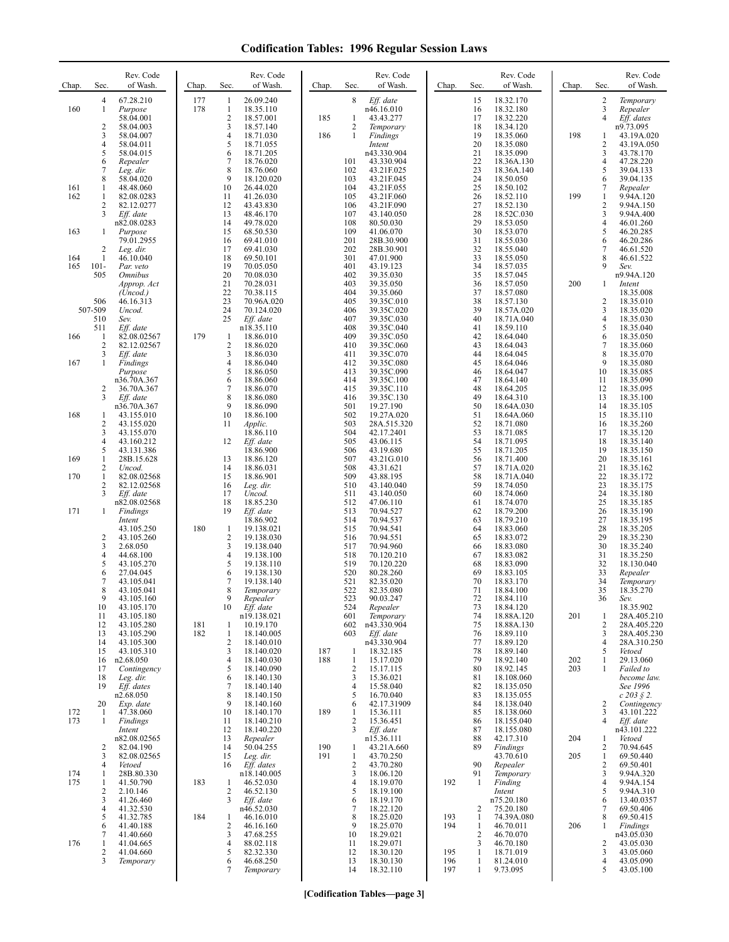| Chap.             | Sec.                                               | Rev. Code<br>of Wash.                                                                                              | Chap.      | Rev. Code<br>Sec.<br>of Wash.                                                                                                                                                                                             | Chap.      | Rev. Code<br>Sec.<br>of Wash.                                                                                                                                                         | Chap.                           | Sec.                                               | Rev. Code<br>of Wash.                                                                                               | Chap.      | Sec.                                                                    | Rev. Code<br>of Wash.                                                                                               |
|-------------------|----------------------------------------------------|--------------------------------------------------------------------------------------------------------------------|------------|---------------------------------------------------------------------------------------------------------------------------------------------------------------------------------------------------------------------------|------------|---------------------------------------------------------------------------------------------------------------------------------------------------------------------------------------|---------------------------------|----------------------------------------------------|---------------------------------------------------------------------------------------------------------------------|------------|-------------------------------------------------------------------------|---------------------------------------------------------------------------------------------------------------------|
| 160               | 4<br>1<br>$\overline{2}$<br>3<br>4<br>5<br>6<br>7  | 67.28.210<br>Purpose<br>58.04.001<br>58.04.003<br>58.04.007<br>58.04.011<br>58.04.015<br>Repealer<br>Leg. dir.     | 177<br>178 | 26.09.240<br>1<br>$\mathbf{1}$<br>18.35.110<br>$\overline{\mathbf{c}}$<br>18.57.001<br>3<br>18.57.140<br>$\overline{4}$<br>18.71.030<br>5<br>18.71.055<br>6<br>18.71.205<br>$\overline{7}$<br>18.76.020<br>8<br>18.76.060 | 185<br>186 | 8<br>Eff. date<br>n46.16.010<br>1<br>43.43.277<br>$\overline{\mathbf{c}}$<br>Temporary<br>$\mathbf{1}$<br>Findings<br>Intent<br>n43.330.904<br>43.330.904<br>101<br>102<br>43.21F.025 |                                 | 15<br>16<br>17<br>18<br>19<br>20<br>21<br>22<br>23 | 18.32.170<br>18.32.180<br>18.32.220<br>18.34.120<br>18.35.060<br>18.35.080<br>18.35.090<br>18.36A.130<br>18.36A.140 | 198        | 2<br>$\mathfrak{Z}$<br>4<br>1<br>$\sqrt{2}$<br>3<br>$\overline{4}$<br>5 | Temporary<br>Repealer<br>Eff. dates<br>n9.73.095<br>43.19A.020<br>43.19A.050<br>43.78.170<br>47.28.220<br>39.04.133 |
| 161<br>162        | 8<br>1<br>1<br>2<br>3                              | 58.04.020<br>48.48.060<br>82.08.0283<br>82.12.0277<br>Eff. date<br>n82.08.0283                                     |            | 9<br>18.120.020<br>10<br>26.44.020<br>11<br>41.26.030<br>12<br>43.43.830<br>13<br>48.46.170<br>14<br>49.78.020                                                                                                            |            | 103<br>43.21F.045<br>104<br>43.21F.055<br>105<br>43.21F.060<br>106<br>43.21F.090<br>107<br>43.140.050<br>108<br>80.50.030                                                             |                                 | 24<br>25<br>26<br>27<br>28<br>29                   | 18.50.050<br>18.50.102<br>18.52.110<br>18.52.130<br>18.52C.030<br>18.53.050                                         | 199        | 6<br>7<br>1<br>$\overline{2}$<br>3<br>$\overline{4}$                    | 39.04.135<br>Repealer<br>9.94A.120<br>9.94A.150<br>9.94A.400<br>46.01.260                                           |
| 163<br>164<br>165 | -1<br>$\overline{2}$<br>1<br>$101 -$<br>505        | Purpose<br>79.01.2955<br>Leg. dir.<br>46.10.040<br>Par. veto<br><i><b>Omnibus</b></i>                              |            | 15<br>68.50.530<br>16<br>69.41.010<br>17<br>69.41.030<br>18<br>69.50.101<br>19<br>70.05.050<br>20<br>70.08.030                                                                                                            |            | 109<br>41.06.070<br>201<br>28B.30.900<br>202<br>28B.30.901<br>301<br>47.01.900<br>401<br>43.19.123<br>402<br>39.35.030                                                                |                                 | 30<br>31<br>32<br>33<br>34<br>35                   | 18.53.070<br>18.55.030<br>18.55.040<br>18.55.050<br>18.57.035<br>18.57.045                                          |            | 5<br>6<br>7<br>8<br>$\mathbf Q$                                         | 46.20.285<br>46.20.286<br>46.61.520<br>46.61.522<br>Sev.<br>n9.94A.120                                              |
|                   | 506<br>507-509<br>510<br>511                       | Approp. Act<br>(Uncod.)<br>46.16.313<br>Uncod.<br>Sev.<br>Eff. date                                                |            | 21<br>70.28.031<br>22<br>70.38.115<br>23<br>70.96A.020<br>24<br>70.124.020<br>25<br>Eff. date<br>n18.35.110                                                                                                               |            | 403<br>39.35.050<br>404<br>39.35.060<br>405<br>39.35C.010<br>406<br>39.35C.020<br>407<br>39.35C.030<br>408<br>39.35C.040                                                              |                                 | 36<br>37<br>38<br>39<br>40<br>41                   | 18.57.050<br>18.57.080<br>18.57.130<br>18.57A.020<br>18.71A.040<br>18.59.110                                        | 200        | 1<br>2<br>3<br>$\overline{4}$<br>5                                      | Intent<br>18.35.008<br>18.35.010<br>18.35.020<br>18.35.030<br>18.35.040                                             |
| 166<br>167        | -1<br>$\overline{2}$<br>3<br>1                     | 82.08.02567<br>82.12.02567<br>Eff. date<br><b>Findings</b><br>Purpose<br>n36.70A.367                               | 179        | 18.86.010<br>1<br>$\overline{c}$<br>18.86.020<br>3<br>18.86.030<br>$\overline{4}$<br>18.86.040<br>5<br>18.86.050<br>6<br>18.86.060                                                                                        |            | 409<br>39.35C.050<br>410<br>39.35C.060<br>411<br>39.35C.070<br>412<br>39.35C.080<br>413<br>39.35C.090<br>414<br>39.35C.100                                                            |                                 | 42<br>43<br>44<br>45<br>46<br>47                   | 18.64.040<br>18.64.043<br>18.64.045<br>18.64.046<br>18.64.047<br>18.64.140                                          |            | 6<br>$\tau$<br>8<br>9<br>10<br>11                                       | 18.35.050<br>18.35.060<br>18.35.070<br>18.35.080<br>18.35.085<br>18.35.090                                          |
| 168               | $\overline{2}$<br>3<br>1<br>2<br>3<br>4            | 36.70A.367<br>Eff. date<br>n36.70A.367<br>43.155.010<br>43.155.020<br>43.155.070<br>43.160.212                     |            | 7<br>18.86.070<br>8<br>18.86.080<br>9<br>18.86.090<br>10<br>18.86.100<br>11<br>Applic.<br>18.86.110<br>12<br>Eff. date                                                                                                    |            | 415<br>39.35C.110<br>416<br>39.35C.130<br>501<br>19.27.190<br>502<br>19.27A.020<br>503<br>28A.515.320<br>504<br>42.17.2401<br>505<br>43.06.115                                        |                                 | 48<br>49<br>50<br>51<br>52<br>53<br>54             | 18.64.205<br>18.64.310<br>18.64A.030<br>18.64A.060<br>18.71.080<br>18.71.085<br>18.71.095                           |            | 12<br>13<br>14<br>15<br>16<br>17<br>18                                  | 18.35.095<br>18.35.100<br>18.35.105<br>18.35.110<br>18.35.260<br>18.35.120<br>18.35.140                             |
| 169<br>170        | 5<br>1<br>2<br>$\mathbf{1}$<br>$\overline{2}$<br>3 | 43.131.386<br>28B.15.628<br>Uncod.<br>82.08.02568<br>82.12.02568<br>Eff. date                                      |            | 18.86.900<br>13<br>18.86.120<br>14<br>18.86.031<br>15<br>18.86.901<br>16<br>Leg. dir.<br>17<br>Uncod.                                                                                                                     |            | 506<br>43.19.680<br>507<br>43.21G.010<br>508<br>43.31.621<br>509<br>43.88.195<br>510<br>43.140.040<br>511<br>43.140.050                                                               |                                 | 55<br>56<br>57<br>58<br>59<br>60                   | 18.71.205<br>18.71.400<br>18.71A.020<br>18.71A.040<br>18.74.050<br>18.74.060                                        |            | 19<br>20<br>21<br>22<br>23<br>24                                        | 18.35.150<br>18.35.161<br>18.35.162<br>18.35.172<br>18.35.175<br>18.35.180                                          |
| 171               | 1<br>2<br>3<br>4<br>5<br>6                         | n82.08.02568<br>Findings<br>Intent<br>43.105.250<br>43.105.260<br>2.68.050<br>44.68.100<br>43.105.270<br>27.04.045 | 180        | 18<br>18.85.230<br>19<br>Eff. date<br>18.86.902<br>-1<br>19.138.021<br>$\overline{c}$<br>19.138.030<br>3<br>19.138.040<br>$\overline{4}$<br>19.138.100<br>5<br>19.138.110<br>6<br>19.138.130                              |            | 512<br>47.06.110<br>513<br>70.94.527<br>514<br>70.94.537<br>70.94.541<br>515<br>516<br>70.94.551<br>517<br>70.94.960<br>518<br>70.120.210<br>519<br>70.120.220<br>520<br>80.28.260    |                                 | 61<br>62<br>63<br>64<br>65<br>66<br>67<br>68<br>69 | 18.74.070<br>18.79.200<br>18.79.210<br>18.83.060<br>18.83.072<br>18.83.080<br>18.83.082<br>18.83.090<br>18.83.105   |            | 25<br>26<br>27<br>28<br>29<br>30<br>31<br>32<br>33                      | 18.35.185<br>18.35.190<br>18.35.195<br>18.35.205<br>18.35.230<br>18.35.240<br>18.35.250<br>18.130.040<br>Repealer   |
|                   | 7<br>8<br>-9<br>10<br>11<br>12<br>13<br>14         | 43.105.041<br>43.105.041<br>43.105.160<br>43.105.170<br>43.105.180<br>43.105.280<br>43.105.290<br>43.105.300       | 181<br>182 | 7<br>19.138.140<br>8<br>Temporary<br>Repealer<br>10<br>Eff. date<br>n19.138.021<br>10.19.170<br>1<br>1<br>18.140.005<br>$\overline{c}$<br>18.140.010                                                                      |            | 521<br>82.35.020<br>522<br>82.35.080<br>523<br>90.03.247<br>524<br>Repealer<br>601<br>Temporary<br>602<br>n43.330.904<br>Eff. date<br>603<br>n43.330.904                              |                                 | 70<br>71<br>72<br>73<br>74<br>75<br>76<br>77       | 18.83.170<br>18.84.100<br>18.84.110<br>18.84.120<br>18.88A.120<br>18.88A.130<br>18.89.110<br>18.89.120              | 201        | 34<br>35<br>36<br>1<br>2<br>3<br>4                                      | Temporary<br>18.35.270<br>Sev.<br>18.35.902<br>28A.405.210<br>28A.405.220<br>28A.405.230<br>28A.310.250             |
|                   | 15<br>16<br>17<br>18<br>19                         | 43.105.310<br>n2.68.050<br>Contingency<br>Leg. dir.<br>Eff. dates<br>n2.68.050                                     |            | 3<br>18.140.020<br>$\overline{4}$<br>18.140.030<br>5<br>18.140.090<br>6<br>18.140.130<br>7<br>18.140.140<br>8<br>18.140.150<br>9                                                                                          | 187<br>188 | 18.32.185<br>1<br>$\mathbf{1}$<br>15.17.020<br>$\overline{c}$<br>15.17.115<br>3<br>15.36.021<br>15.58.040<br>4<br>5<br>16.70.040                                                      |                                 | 78<br>79<br>80<br>81<br>82<br>83                   | 18.89.140<br>18.92.140<br>18.92.145<br>18.108.060<br>18.135.050<br>18.135.055<br>18.138.040                         | 202<br>203 | 5<br>1<br>1                                                             | Vetoed<br>29.13.060<br>Failed to<br>become law.<br>See 1996<br>$c\,203\;$ § 2.                                      |
| 172<br>173        | 20<br>-1<br>$\mathbf{1}$<br>2                      | Exp. date<br>47.38.060<br>Findings<br>Intent<br>n82.08.02565<br>82.04.190                                          |            | 18.140.160<br>10<br>18.140.170<br>11<br>18.140.210<br>12<br>18.140.220<br>13<br>Repealer<br>14<br>50.04.255                                                                                                               | 189<br>190 | 42.17.31909<br>6<br>15.36.111<br>1<br>$\overline{c}$<br>15.36.451<br>Eff. date<br>3<br>n15.36.111<br>43.21A.660<br>1                                                                  |                                 | 84<br>85<br>86<br>87<br>88<br>89                   | 18.138.060<br>18.155.040<br>18.155.080<br>42.17.310                                                                 | 204        | 2<br>3<br>$\overline{4}$<br>1<br>2                                      | Contingency<br>43.101.222<br>Eff. date<br>n43.101.222<br>Vetoed<br>70.94.645                                        |
| 174<br>175        | 3<br>4<br>1<br>1<br>2<br>3<br>4                    | 82.08.02565<br>Vetoed<br>28B.80.330<br>41.50.790<br>2.10.146<br>41.26.460<br>41.32.530                             | 183        | 15<br>Leg. dir.<br>Eff. dates<br>16<br>n18.140.005<br>46.52.030<br>1<br>$\mathbf{2}$<br>46.52.130<br>3<br>Eff. date<br>n46.52.030                                                                                         | 191        | $\mathbf{1}$<br>43.70.250<br>$\sqrt{2}$<br>43.70.280<br>3<br>18.06.120<br>18.19.070<br>4<br>5<br>18.19.100<br>18.19.170<br>6<br>18.22.120<br>7                                        | 192                             | 90<br>91<br>1<br>2                                 | Findings<br>43.70.610<br>Repealer<br>Temporary<br>Finding<br>Intent<br>n75.20.180<br>75.20.180                      | 205        | $\mathbf{1}$<br>2<br>3<br>$\overline{4}$<br>5<br>6<br>7                 | 69.50.440<br>69.50.401<br>9.94A.320<br>9.94A.154<br>9.94A.310<br>13.40.0357<br>69.50.406                            |
| 176               | 5<br>6<br>7<br>1<br>2<br>3                         | 41.32.785<br>41.40.188<br>41.40.660<br>41.04.665<br>41.04.660<br>Temporary                                         | 184        | 46.16.010<br>1<br>2<br>46.16.160<br>3<br>47.68.255<br>$\overline{4}$<br>88.02.118<br>5<br>82.32.330<br>46.68.250<br>6<br>7<br>Temporary                                                                                   |            | 8<br>18.25.020<br>18.25.070<br>9<br>10<br>18.29.021<br>18.29.071<br>11<br>12<br>18.30.120<br>18.30.130<br>13<br>14<br>18.32.110                                                       | 193<br>194<br>195<br>196<br>197 | 1<br>1<br>$\overline{2}$<br>3<br>1<br>1<br>1       | 74.39A.080<br>46.70.011<br>46.70.070<br>46.70.180<br>18.71.019<br>81.24.010<br>9.73.095                             | 206        | 8<br>1<br>2<br>3<br>$\overline{4}$<br>5                                 | 69.50.415<br>Findings<br>n43.05.030<br>43.05.030<br>43.05.060<br>43.05.090<br>43.05.100                             |

**[Codification Tables—page 3]**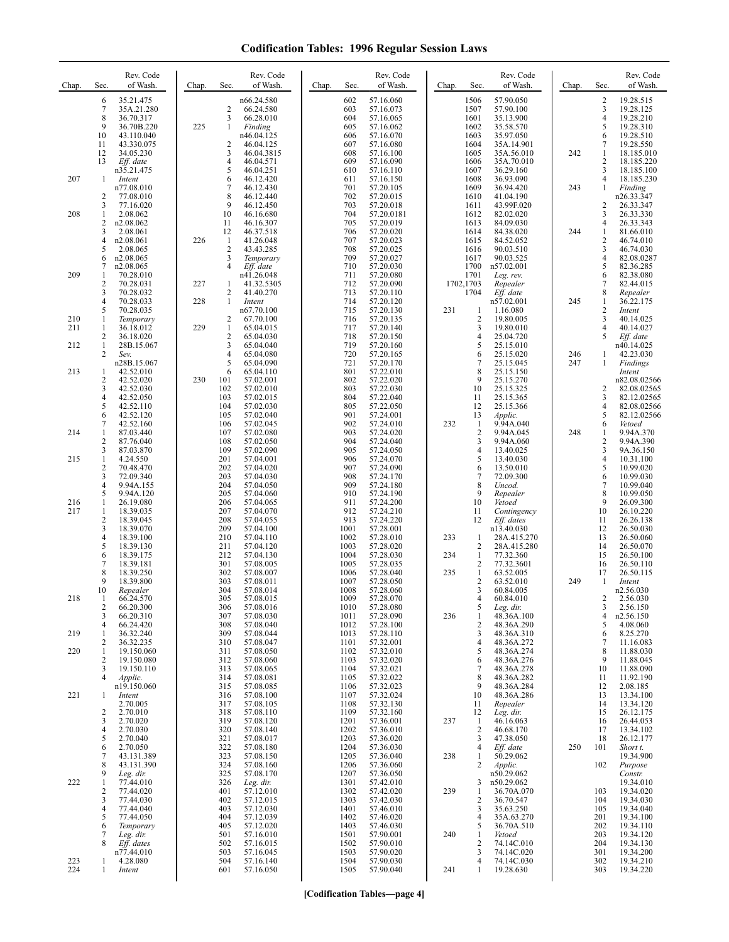| Chap.      | Sec.                                       | Rev. Code<br>of Wash.                                            | Chap.      | Sec.                                           | Rev. Code<br>of Wash.                                           | Chap. | Sec.                            | Rev. Code<br>of Wash.                                         | Chap.      | Sec.                                                  | Rev. Code<br>of Wash.                                            | Chap. | Sec.                                                | Rev. Code<br>of Wash.                                            |
|------------|--------------------------------------------|------------------------------------------------------------------|------------|------------------------------------------------|-----------------------------------------------------------------|-------|---------------------------------|---------------------------------------------------------------|------------|-------------------------------------------------------|------------------------------------------------------------------|-------|-----------------------------------------------------|------------------------------------------------------------------|
|            | 6<br>$\tau$<br>8<br>9                      | 35.21.475<br>35A.21.280<br>36.70.317<br>36.70B.220               | 225        | $\overline{c}$<br>3<br>1                       | n66.24.580<br>66.24.580<br>66.28.010<br>Finding                 |       | 602<br>603<br>604<br>605        | 57.16.060<br>57.16.073<br>57.16.065<br>57.16.062              |            | 1506<br>1507<br>1601<br>1602                          | 57.90.050<br>57.90.100<br>35.13.900<br>35.58.570                 |       | 2<br>3<br>4<br>5                                    | 19.28.515<br>19.28.125<br>19.28.210<br>19.28.310                 |
|            | 10<br>11<br>12<br>13                       | 43.110.040<br>43.330.075<br>34.05.230<br>Eff. date<br>n35.21.475 |            | $\overline{2}$<br>3<br>$\overline{4}$<br>5     | n46.04.125<br>46.04.125<br>46.04.3815<br>46.04.571<br>46.04.251 |       | 606<br>607<br>608<br>609<br>610 | 57.16.070<br>57.16.080<br>57.16.100<br>57.16.090<br>57.16.110 |            | 1603<br>1604<br>1605<br>1606<br>1607                  | 35.97.050<br>35A.14.901<br>35A.56.010<br>35A.70.010<br>36.29.160 | 242   | 6<br>7<br>1<br>2<br>3                               | 19.28.510<br>19.28.550<br>18.185.010<br>18.185.220<br>18.185.100 |
| 207        | $\mathbf{1}$<br>2                          | Intent<br>n77.08.010<br>77.08.010                                |            | 6<br>7<br>8                                    | 46.12.420<br>46.12.430<br>46.12.440                             |       | 611<br>701<br>702               | 57.16.150<br>57.20.105<br>57.20.015                           |            | 1608<br>1609<br>1610                                  | 36.93.090<br>36.94.420<br>41.04.190                              | 243   | 4<br>1                                              | 18.185.230<br>Finding<br>n26.33.347                              |
| 208        | 3<br>1<br>2<br>3                           | 77.16.020<br>2.08.062<br>n2.08.062<br>2.08.061                   |            | 9<br>10<br>11<br>12                            | 46.12.450<br>46.16.680<br>46.16.307<br>46.37.518                |       | 703<br>704<br>705<br>706        | 57.20.018<br>57.20.0181<br>57.20.019<br>57.20.020             |            | 1611<br>1612<br>1613<br>1614                          | 43.99F.020<br>82.02.020<br>84.09.030<br>84.38.020                | 244   | 2<br>3<br>4<br>1                                    | 26.33.347<br>26.33.330<br>26.33.343<br>81.66.010                 |
|            | 4<br>5<br>6                                | n2.08.061<br>2.08.065<br>n2.08.065                               | 226        | -1<br>$\overline{2}$<br>3<br>$\overline{4}$    | 41.26.048<br>43.43.285<br>Temporary                             |       | 707<br>708<br>709               | 57.20.023<br>57.20.025<br>57.20.027                           |            | 1615<br>1616<br>1617                                  | 84.52.052<br>90.03.510<br>90.03.525                              |       | 2<br>3<br>4                                         | 46.74.010<br>46.74.030<br>82.08.0287                             |
| 209        | 7<br>1<br>2<br>3                           | n2.08.065<br>70.28.010<br>70.28.031<br>70.28.032                 | 227        | 1<br>$\overline{2}$                            | Eff. date<br>n41.26.048<br>41.32.5305<br>41.40.270              |       | 710<br>711<br>712<br>713        | 57.20.030<br>57.20.080<br>57.20.090<br>57.20.110              |            | 1700<br>1701<br>1702,1703<br>1704                     | n57.02.001<br>Leg. rev.<br>Repealer<br>Eff. date                 |       | 5<br>6<br>7<br>8                                    | 82.36.285<br>82.38.080<br>82.44.015<br>Repealer                  |
| 210<br>211 | 4<br>5<br>1<br>1                           | 70.28.033<br>70.28.035<br>Temporary<br>36.18.012                 | 228<br>229 | $\mathbf{1}$<br>$\overline{2}$<br>$\mathbf{1}$ | Intent<br>n67.70.100<br>67.70.100<br>65.04.015                  |       | 714<br>715<br>716<br>717        | 57.20.120<br>57.20.130<br>57.20.135<br>57.20.140              | 231        | 1<br>$\overline{\mathbf{c}}$<br>3                     | n57.02.001<br>1.16.080<br>19.80.005<br>19.80.010                 | 245   | $\mathbf{1}$<br>$\mathbf{2}$<br>3<br>$\overline{4}$ | 36.22.175<br>Intent<br>40.14.025<br>40.14.027                    |
| 212        | $\overline{c}$<br>$\mathbf{1}$<br>2        | 36.18.020<br>28B.15.067<br>Sev.                                  |            | $\overline{2}$<br>3<br>$\overline{4}$          | 65.04.030<br>65.04.040<br>65.04.080                             |       | 718<br>719<br>720               | 57.20.150<br>57.20.160<br>57.20.165                           |            | $\overline{4}$<br>5<br>6                              | 25.04.720<br>25.15.010<br>25.15.020                              | 246   | 5<br>1                                              | Eff. date<br>n40.14.025<br>42.23.030                             |
| 213        | 1<br>$\overline{c}$<br>3                   | n28B.15.067<br>42.52.010<br>42.52.020<br>42.52.030               | 230        | 5<br>6<br>101<br>102                           | 65.04.090<br>65.04.110<br>57.02.001<br>57.02.010                |       | 721<br>801<br>802<br>803        | 57.20.170<br>57.22.010<br>57.22.020<br>57.22.030              |            | $\overline{7}$<br>8<br>9<br>10                        | 25.15.045<br>25.15.150<br>25.15.270<br>25.15.325                 | 247   | 1<br>2                                              | Findings<br>Intent<br>n82.08.02566<br>82.08.02565                |
|            | 4<br>5<br>6<br>7                           | 42.52.050<br>42.52.110<br>42.52.120<br>42.52.160                 |            | 103<br>104<br>105<br>106                       | 57.02.015<br>57.02.030<br>57.02.040<br>57.02.045                |       | 804<br>805<br>901<br>902        | 57.22.040<br>57.22.050<br>57.24.001<br>57.24.010              | 232        | 11<br>12<br>13<br>1                                   | 25.15.365<br>25.15.366<br>Applic.<br>9.94A.040                   |       | 3<br>4<br>5<br>6                                    | 82.12.02565<br>82.08.02566<br>82.12.02566<br>Vetoed              |
| 214<br>215 | 1<br>$\overline{c}$<br>3<br>1              | 87.03.440<br>87.76.040<br>87.03.870<br>4.24.550                  |            | 107<br>108<br>109<br>201                       | 57.02.080<br>57.02.050<br>57.02.090<br>57.04.001                |       | 903<br>904<br>905<br>906        | 57.24.020<br>57.24.040<br>57.24.050<br>57.24.070              |            | $\overline{c}$<br>3<br>4<br>5                         | 9.94A.045<br>9.94A.060<br>13.40.025<br>13.40.030                 | 248   | 1<br>2<br>3<br>4                                    | 9.94A.370<br>9.94A.390<br>9A.36.150<br>10.31.100                 |
|            | $\overline{c}$<br>3<br>$\overline{4}$<br>5 | 70.48.470<br>72.09.340<br>9.94A.155<br>9.94A.120                 |            | 202<br>203<br>204<br>205                       | 57.04.020<br>57.04.030<br>57.04.050<br>57.04.060                |       | 907<br>908<br>909<br>910        | 57.24.090<br>57.24.170<br>57.24.180<br>57.24.190              |            | 6<br>7<br>8<br>9                                      | 13.50.010<br>72.09.300<br>Uncod.<br>Repealer                     |       | 5<br>6<br>7<br>8                                    | 10.99.020<br>10.99.030<br>10.99.040<br>10.99.050                 |
| 216<br>217 | 1<br>1<br>$\overline{c}$<br>3              | 26.19.080<br>18.39.035<br>18.39.045                              |            | 206<br>207<br>208<br>209                       | 57.04.065<br>57.04.070<br>57.04.055                             |       | 911<br>912<br>913<br>1001       | 57.24.200<br>57.24.210<br>57.24.220<br>57.28.001              |            | 10<br>11<br>12                                        | Vetoed<br>Contingency<br>Eff. dates<br>n13.40.030                |       | 9<br>10<br>11<br>12                                 | 26.09.300<br>26.10.220<br>26.26.138                              |
|            | 4<br>5<br>6                                | 18.39.070<br>18.39.100<br>18.39.130<br>18.39.175                 |            | 210<br>211<br>212                              | 57.04.100<br>57.04.110<br>57.04.120<br>57.04.130                |       | 1002<br>1003<br>1004            | 57.28.010<br>57.28.020<br>57.28.030                           | 233<br>234 | 1<br>2<br>1                                           | 28A.415.270<br>28A.415.280<br>77.32.360                          |       | 13<br>14<br>15                                      | 26.50.030<br>26.50.060<br>26.50.070<br>26.50.100                 |
|            | 7<br>8<br>9<br>10                          | 18.39.181<br>18.39.250<br>18.39.800<br>Repealer                  |            | 301<br>302<br>303<br>304                       | 57.08.005<br>57.08.007<br>57.08.011<br>57.08.014                |       | 1005<br>1006<br>1007<br>1008    | 57.28.035<br>57.28.040<br>57.28.050<br>57.28.060              | 235        | $\overline{c}$<br>$\mathbf{1}$<br>$\overline{2}$<br>3 | 77.32.3601<br>63.52.005<br>63.52.010<br>60.84.005                | 249   | 16<br>17<br>-1                                      | 26.50.110<br>26.50.115<br>Intent<br>n2.56.030                    |
| 218        | 1<br>2<br>3<br>4                           | 66.24.570<br>66.20.300<br>66.20.310<br>66.24.420                 |            | 305<br>306<br>307<br>308                       | 57.08.015<br>57.08.016<br>57.08.030<br>57.08.040                |       | 1009<br>1010<br>1011<br>1012    | 57.28.070<br>57.28.080<br>57.28.090<br>57.28.100              | 236        | 4<br>5<br>1<br>$\overline{c}$                         | 60.84.010<br>Leg. dir.<br>48.36A.100<br>48.36A.290               |       | 2<br>3<br>4<br>5                                    | 2.56.030<br>2.56.150<br>n2.56.150<br>4.08.060                    |
| 219<br>220 | 1<br>2<br>1<br>2                           | 36.32.240<br>36.32.235<br>19.150.060<br>19.150.080               |            | 309<br>310<br>311<br>312                       | 57.08.044<br>57.08.047<br>57.08.050<br>57.08.060                |       | 1013<br>1101<br>1102<br>1103    | 57.28.110<br>57.32.001<br>57.32.010<br>57.32.020              |            | 3<br>4<br>5<br>6                                      | 48.36A.310<br>48.36A.272<br>48.36A.274<br>48.36A.276             |       | 6<br>$\overline{7}$<br>8<br>9                       | 8.25.270<br>11.16.083<br>11.88.030<br>11.88.045                  |
|            | 3<br>4                                     | 19.150.110<br>Applic.<br>n19.150.060                             |            | 313<br>314<br>315                              | 57.08.065<br>57.08.081<br>57.08.085                             |       | 1104<br>1105<br>1106            | 57.32.021<br>57.32.022<br>57.32.023                           |            | 7<br>8<br>9                                           | 48.36A.278<br>48.36A.282<br>48.36A.284                           |       | 10<br>11<br>12                                      | 11.88.090<br>11.92.190<br>2.08.185                               |
| 221        | 1<br>$\overline{c}$<br>3                   | Intent<br>2.70.005<br>2.70.010<br>2.70.020                       |            | 316<br>317<br>318<br>319                       | 57.08.100<br>57.08.105<br>57.08.110<br>57.08.120                |       | 1107<br>1108<br>1109<br>1201    | 57.32.024<br>57.32.130<br>57.32.160<br>57.36.001              | 237        | 10<br>11<br>12<br>$\mathbf{1}$                        | 48.36A.286<br>Repealer<br>Leg. dir.<br>46.16.063                 |       | 13<br>14<br>15<br>16                                | 13.34.100<br>13.34.120<br>26.12.175<br>26.44.053                 |
|            | 4<br>5<br>6<br>7                           | 2.70.030<br>2.70.040<br>2.70.050<br>43.131.389                   |            | 320<br>321<br>322<br>323                       | 57.08.140<br>57.08.017<br>57.08.180<br>57.08.150                |       | 1202<br>1203<br>1204<br>1205    | 57.36.010<br>57.36.020<br>57.36.030<br>57.36.040              | 238        | 2<br>3<br>4<br>-1                                     | 46.68.170<br>47.38.050<br>Eff. date<br>50.29.062                 | 250   | 17<br>18<br>101                                     | 13.34.102<br>26.12.177<br>Short t.<br>19.34.900                  |
| 222        | 8<br>9<br>1<br>2                           | 43.131.390<br>Leg. dir.<br>77.44.010<br>77.44.020                |            | 324<br>325<br>326<br>401                       | 57.08.160<br>57.08.170<br>Leg. dir.<br>57.12.010                |       | 1206<br>1207<br>1301<br>1302    | 57.36.060<br>57.36.050<br>57.42.010<br>57.42.020              | 239        | 2<br>3<br>1                                           | Applic.<br>n50.29.062<br>n50.29.062<br>36.70A.070                |       | 102<br>103                                          | Purpose<br>Constr.<br>19.34.010<br>19.34.020                     |
|            | 3<br>4<br>5<br>6                           | 77.44.030<br>77.44.040<br>77.44.050<br>Temporary                 |            | 402<br>403<br>404<br>405                       | 57.12.015<br>57.12.030<br>57.12.039<br>57.12.020                |       | 1303<br>1401<br>1402<br>1403    | 57.42.030<br>57.46.010<br>57.46.020<br>57.46.030              |            | $\overline{c}$<br>3<br>4<br>5                         | 36.70.547<br>35.63.250<br>35A.63.270<br>36.70A.510               |       | 104<br>105<br>201<br>202                            | 19.34.030<br>19.34.040<br>19.34.100<br>19.34.110                 |
|            | 7<br>8                                     | Leg. dir.<br>Eff. dates<br>n77.44.010                            |            | 501<br>502<br>503                              | 57.16.010<br>57.16.015<br>57.16.045                             |       | 1501<br>1502<br>1503            | 57.90.001<br>57.90.010<br>57.90.020                           | 240        | $\mathbf{1}$<br>$\overline{\mathbf{c}}$<br>3          | Vetoed<br>74.14C.010<br>74.14C.020                               |       | 203<br>204<br>301                                   | 19.34.120<br>19.34.130<br>19.34.200                              |
| 223<br>224 | 1<br>1                                     | 4.28.080<br>Intent                                               |            | 504<br>601                                     | 57.16.140<br>57.16.050                                          |       | 1504<br>1505                    | 57.90.030<br>57.90.040                                        | 241        | 4<br>1                                                | 74.14C.030<br>19.28.630                                          |       | 302<br>303                                          | 19.34.210<br>19.34.220                                           |

**[Codification Tables—page 4]**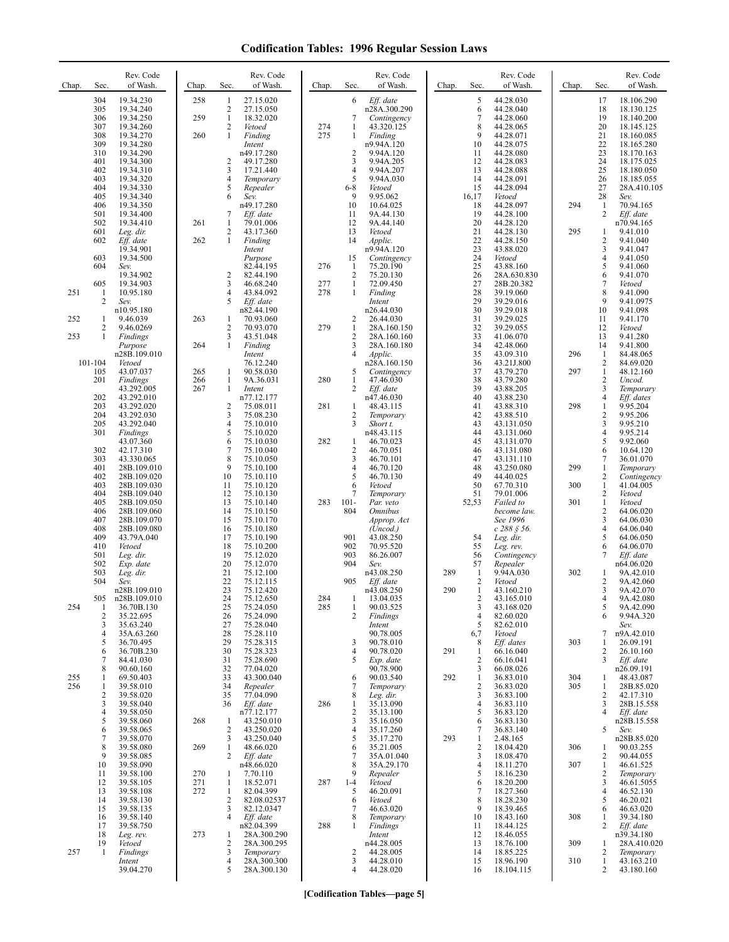| Chap. | Sec.                | Rev. Code<br>of Wash.      | Chap.      | Sec.                | Rev. Code<br>of Wash.      | Chap.      | Sec.                | Rev. Code<br>of Wash.              | Chap. | Sec.                | Rev. Code<br>of Wash.     | Chap. | Sec.                         | Rev. Code<br>of Wash.     |
|-------|---------------------|----------------------------|------------|---------------------|----------------------------|------------|---------------------|------------------------------------|-------|---------------------|---------------------------|-------|------------------------------|---------------------------|
|       | 304<br>305          | 19.34.230<br>19.34.240     | 258        | 1<br>$\overline{c}$ | 27.15.020<br>27.15.050     |            | 6                   | Eff. date<br>n28A.300.290          |       | 5<br>6              | 44.28.030<br>44.28.040    |       | 17<br>18                     | 18.106.290<br>18.130.125  |
|       | 306                 | 19.34.250                  | 259        | $\mathbf{1}$        | 18.32.020                  |            | 7                   | Contingency                        |       | $\overline{7}$      | 44.28.060                 |       | 19                           | 18.140.200                |
|       | 307<br>308          | 19.34.260<br>19.34.270     | 260        | 2<br>$\mathbf{1}$   | Vetoed<br>Finding          | 274<br>275 | 1<br>1              | 43.320.125<br>Finding              |       | 8<br>9              | 44.28.065<br>44.28.071    |       | 20<br>21                     | 18.145.125<br>18.160.085  |
|       | 309                 | 19.34.280                  |            |                     | Intent                     |            |                     | n9.94A.120                         |       | 10                  | 44.28.075                 |       | 22                           | 18.165.280                |
|       | 310<br>401          | 19.34.290<br>19.34.300     |            | 2                   | n49.17.280<br>49.17.280    |            | 2<br>3              | 9.94A.120<br>9.94A.205             |       | 11<br>12            | 44.28.080<br>44.28.083    |       | 23<br>24                     | 18.170.163<br>18.175.025  |
|       | 402                 | 19.34.310                  |            | 3                   | 17.21.440                  |            | 4                   | 9.94A.207                          |       | 13                  | 44.28.088                 |       | 25                           | 18.180.050                |
|       | 403<br>404          | 19.34.320<br>19.34.330     |            | 4<br>5              | Temporary<br>Repealer      |            | 5<br>$6 - 8$        | 9.94A.030<br>Vetoed                |       | 14<br>15            | 44.28.091<br>44.28.094    |       | 26<br>27                     | 18.185.055<br>28A.410.105 |
|       | 405                 | 19.34.340                  |            | 6                   | Sev.                       |            | 9                   | 9.95.062                           |       | 16,17               | Vetoed                    |       | 28                           | Sev.                      |
|       | 406<br>501          | 19.34.350<br>19.34.400     |            | 7                   | n49.17.280<br>Eff. date    |            | 10<br>11            | 10.64.025<br>9A.44.130             |       | 18<br>19            | 44.28.097<br>44.28.100    | 294   | $\mathbf{1}$<br>2            | 70.94.165<br>Eff. date    |
|       | 502                 | 19.34.410                  | 261        | $\mathbf{1}$        | 79.01.006                  |            | 12                  | 9A.44.140                          |       | 20                  | 44.28.120                 |       |                              | n70.94.165                |
|       | 601<br>602          | Leg. dir.<br>Eff. date     | 262        | 2<br>$\mathbf{1}$   | 43.17.360<br>Finding       |            | 13<br>14            | Vetoed<br>Applic.                  |       | 21<br>22            | 44.28.130<br>44.28.150    | 295   | 1<br>2                       | 9.41.010<br>9.41.040      |
|       | 603                 | 19.34.901<br>19.34.500     |            |                     | Intent<br>Purpose          |            | 15                  | n9.94A.120                         |       | 23<br>24            | 43.88.020<br>Vetoed       |       | 3<br>4                       | 9.41.047<br>9.41.050      |
|       | 604                 | Sev.                       |            |                     | 82.44.195                  | 276        | 1                   | Contingency<br>75.20.190           |       | 25                  | 43.88.160                 |       | 5                            | 9.41.060                  |
|       | 605                 | 19.34.902<br>19.34.903     |            | 2<br>3              | 82.44.190<br>46.68.240     | 277        | $\overline{2}$<br>1 | 75.20.130<br>72.09.450             |       | 26<br>27            | 28A.630.830<br>28B.20.382 |       | 6<br>7                       | 9.41.070<br>Vetoed        |
| 251   | 1                   | 10.95.180                  |            | $\overline{4}$      | 43.84.092                  | 278        | $\mathbf{1}$        | Finding                            |       | 28                  | 39.19.060                 |       | 8                            | 9.41.090                  |
|       | 2                   | Sev.<br>n10.95.180         |            | 5                   | Eff. date<br>n82.44.190    |            |                     | Intent<br>n26.44.030               |       | 29<br>30            | 39.29.016<br>39.29.018    |       | 9<br>10                      | 9.41.0975<br>9.41.098     |
| 252   | 1                   | 9.46.039                   | 263        | $\mathbf{1}$        | 70.93.060                  |            | 2                   | 26.44.030                          |       | 31                  | 39.29.025                 |       | 11                           | 9.41.170                  |
| 253   | 2<br>$\mathbf{1}$   | 9.46.0269<br>Findings      |            | 2<br>3              | 70.93.070<br>43.51.048     | 279        | 1<br>2              | 28A.160.150<br>28A.160.160         |       | 32<br>33            | 39.29.055<br>41.06.070    |       | 12<br>13                     | Vetoed<br>9.41.280        |
|       |                     | Purpose                    | 264        | $\mathbf{1}$        | Finding                    |            | 3                   | 28A.160.180                        |       | 34                  | 42.48.060                 |       | 14                           | 9.41.800                  |
|       | 101-104             | n28B.109.010<br>Vetoed     |            |                     | Intent<br>76.12.240        |            | 4                   | Applic.<br>n28A.160.150            |       | 35<br>36            | 43.09.310<br>43.21J.800   | 296   | 1<br>$\overline{c}$          | 84.48.065<br>84.69.020    |
|       | 105                 | 43.07.037                  | 265        | 1<br>$\mathbf{1}$   | 90.58.030<br>9A.36.031     | 280        | 5<br>1              | Contingency<br>47.46.030           |       | 37<br>38            | 43.79.270                 | 297   | $\mathbf{1}$<br>$\mathbf{2}$ | 48.12.160<br>Uncod.       |
|       | 201                 | Findings<br>43.292.005     | 266<br>267 | $\mathbf{1}$        | Intent                     |            | 2                   | Eff. date                          |       | 39                  | 43.79.280<br>43.88.205    |       | 3                            | Temporary                 |
|       | 202<br>203          | 43.292.010<br>43.292.020   |            | 2                   | n77.12.177<br>75.08.011    | 281        | 1                   | n47.46.030<br>48.43.115            |       | 40<br>41            | 43.88.230<br>43.88.310    | 298   | 4<br>$\mathbf{1}$            | Eff. dates<br>9.95.204    |
|       | 204                 | 43.292.030                 |            | 3                   | 75.08.230                  |            | 2                   | Temporary                          |       | 42                  | 43.88.510                 |       | 2                            | 9.95.206                  |
|       | 205<br>301          | 43.292.040<br>Findings     |            | 4<br>5              | 75.10.010<br>75.10.020     |            | 3                   | Short t.<br>n48.43.115             |       | 43<br>44            | 43.131.050<br>43.131.060  |       | 3<br>4                       | 9.95.210<br>9.95.214      |
|       |                     | 43.07.360                  |            | 6                   | 75.10.030                  | 282        | 1                   | 46.70.023                          |       | 45                  | 43.131.070                |       | 5                            | 9.92.060                  |
|       | 302<br>303          | 42.17.310<br>43.330.065    |            | $\overline{7}$<br>8 | 75.10.040<br>75.10.050     |            | 2<br>3              | 46.70.051<br>46.70.101             |       | 46<br>47            | 43.131.080<br>43.131.110  |       | 6<br>7                       | 10.64.120<br>36.01.070    |
|       | 401                 | 28B.109.010                |            | 9                   | 75.10.100                  |            | 4                   | 46.70.120                          |       | 48                  | 43.250.080                | 299   | 1                            | Temporary                 |
|       | 402<br>403          | 28B.109.020<br>28B.109.030 |            | 10<br>11            | 75.10.110<br>75.10.120     |            | 5<br>6              | 46.70.130<br>Vetoed                |       | 49<br>50            | 44.40.025<br>67.70.310    | 300   | 2<br>$\mathbf{1}$            | Contingency<br>41.04.005  |
|       | 404<br>405          | 28B.109.040                |            | 12<br>13            | 75.10.130                  | 283        | 7<br>$101 -$        | Temporary                          |       | 51<br>52,53         | 79.01.006                 | 301   | 2<br>$\mathbf{1}$            | Vetoed                    |
|       | 406                 | 28B.109.050<br>28B.109.060 |            | 14                  | 75.10.140<br>75.10.150     |            | 804                 | Par. veto<br><i><b>Omnibus</b></i> |       |                     | Failed to<br>become law.  |       | $\overline{c}$               | Vetoed<br>64.06.020       |
|       | 407<br>408          | 28B.109.070<br>28B.109.080 |            | 15<br>16            | 75.10.170<br>75.10.180     |            |                     | Approp. Act<br>(Uncod.)            |       |                     | See 1996<br>$c$ 288 § 56. |       | 3<br>$\overline{\mathbf{4}}$ | 64.06.030<br>64.06.040    |
|       | 409                 | 43.79A.040                 |            | 17                  | 75.10.190                  |            | 901                 | 43.08.250                          |       | 54                  | Leg. dir.                 |       | 5                            | 64.06.050                 |
|       | 410<br>501          | Vetoed<br>Leg. dir.        |            | 18<br>19            | 75.10.200<br>75.12.020     |            | 902<br>903          | 70.95.520<br>86.26.007             |       | 55<br>56            | Leg. rev.<br>Contingency  |       | 6<br>7                       | 64.06.070<br>Eff. date    |
|       | 502                 | Exp. date                  |            | 20                  | 75.12.070                  |            | 904                 | Sev.                               |       | 57                  | Repealer                  |       |                              | n64.06.020                |
|       | 503<br>504          | Leg. dir.<br>Sev.          |            | 21<br>22            | 75.12.100<br>75.12.115     |            | 905                 | n43.08.250<br>Eff. date            | 289   | 1<br>$\overline{2}$ | 9.94A.030<br>Vetoed       | 302   | 1<br>2                       | 9A.42.010<br>9A.42.060    |
|       |                     | n28B.109.010               |            | 23                  | 75.12.420                  |            |                     | n43.08.250                         | 290   | $\mathbf{1}$        | 43.160.210                |       | 3                            | 9A.42.070                 |
| 254   | 505<br>1            | n28B.109.010<br>36.70B.130 |            | 24<br>25            | 75.12.650<br>75.24.050     | 284<br>285 | -1<br>1             | 13.04.035<br>90.03.525             |       | 2<br>3              | 43.165.010<br>43.168.020  |       | 4<br>5                       | 9A.42.080<br>9A.42.090    |
|       | $\sqrt{2}$<br>3     | 35.22.695<br>35.63.240     |            | 26<br>27            | 75.24.090<br>75.28.040     |            | 2                   | Findings<br>Intent                 |       | $\overline{4}$<br>5 | 82.60.020<br>82.62.010    |       | 6                            | 9.94A.320<br>Sev.         |
|       | 4                   | 35A.63.260                 |            | 28                  | 75.28.110                  |            |                     | 90.78.005                          |       | 6,7                 | Vetoed                    |       | 7                            | n9A.42.010                |
|       | 5<br>6              | 36.70.495<br>36.70B.230    |            | 29<br>30            | 75.28.315<br>75.28.323     |            | 3<br>4              | 90.78.010<br>90.78.020             | 291   | 8<br>-1             | Eff. dates<br>66.16.040   | 303   | 1<br>2                       | 26.09.191<br>26.10.160    |
|       | 7                   | 84.41.030                  |            | 31                  | 75.28.690                  |            | 5                   | Exp. date                          |       | $\overline{2}$      | 66.16.041                 |       | 3                            | Eff. date                 |
| 255   | 8<br>1              | 90.60.160<br>69.50.403     |            | 32<br>33            | 77.04.020<br>43.300.040    |            | 6                   | 90.78.900<br>90.03.540             | 292   | 3<br>1              | 66.08.026<br>36.83.010    | 304   | 1                            | n26.09.191<br>48.43.087   |
| 256   | 1                   | 39.58.010                  |            | 34                  | Repealer                   |            | 7                   | Temporary                          |       | $\overline{2}$      | 36.83.020                 | 305   | 1                            | 28B.85.020                |
|       | $\sqrt{2}$<br>3     | 39.58.020<br>39.58.040     |            | 35<br>36            | 77.04.090<br>Eff. date     | 286        | 8<br>1              | Leg. dir.<br>35.13.090             |       | 3<br>$\overline{4}$ | 36.83.100<br>36.83.110    |       | $\mathbf{2}$<br>3            | 42.17.310<br>28B.15.558   |
|       | $\overline{4}$<br>5 | 39.58.050<br>39.58.060     | 268        |                     | n77.12.177                 |            | 2<br>3              | 35.13.100<br>35.16.050             |       | 5<br>6              | 36.83.120                 |       | 4                            | Eff. date                 |
|       | 6                   | 39.58.065                  |            | 1<br>$\overline{2}$ | 43.250.010<br>43.250.020   |            | 4                   | 35.17.260                          |       | 7                   | 36.83.130<br>36.83.140    |       | 5                            | n28B.15.558<br>Sev.       |
|       | 7<br>8              | 39.58.070<br>39.58.080     | 269        | 3<br>$\mathbf{1}$   | 43.250.040<br>48.66.020    |            | 5<br>6              | 35.17.270<br>35.21.005             | 293   | 1<br>$\overline{2}$ | 2.48.165<br>18.04.420     | 306   | 1                            | n28B.85.020<br>90.03.255  |
|       | 9                   | 39.58.085                  |            | 2                   | Eff. date                  |            | 7                   | 35A.01.040                         |       | 3                   | 18.08.470                 |       | 2                            | 90.44.055                 |
|       | 10<br>11            | 39.58.090<br>39.58.100     | 270        | 1                   | n48.66.020<br>7.70.110     |            | 8<br>9              | 35A.29.170<br>Repealer             |       | $\overline{4}$<br>5 | 18.11.270<br>18.16.230    | 307   | 1<br>$\mathbf{2}$            | 46.61.525<br>Temporary    |
|       | 12                  | 39.58.105                  | 271        | $\mathbf{1}$        | 18.52.071                  | 287        | $1-4$               | Vetoed                             |       | 6                   | 18.20.200                 |       | 3                            | 46.61.5055                |
|       | 13<br>14            | 39.58.108<br>39.58.130     | 272        | $\mathbf{1}$<br>2   | 82.04.399<br>82.08.02537   |            | 5<br>6              | 46.20.091<br>Vetoed                |       | 7<br>8              | 18.27.360<br>18.28.230    |       | 4<br>5                       | 46.52.130<br>46.20.021    |
|       | 15                  | 39.58.135                  |            | 3                   | 82.12.0347                 |            | 7                   | 46.63.020                          |       | 9                   | 18.39.465                 |       | 6                            | 46.63.020                 |
|       | 16<br>17            | 39.58.140<br>39.58.750     |            | 4                   | Eff. date<br>n82.04.399    | 288        | 8<br>1              | Temporary<br>Findings              |       | 10<br>11            | 18.43.160<br>18.44.125    | 308   | 1<br>2                       | 39.34.180<br>Eff. date    |
|       | 18<br>19            | Leg. rev.<br>Vetoed        | 273        | 1<br>2              | 28A.300.290<br>28A.300.295 |            |                     | Intent<br>n44.28.005               |       | 12<br>13            | 18.46.055<br>18.76.100    | 309   |                              | n39.34.180<br>28A.410.020 |
| 257   | 1                   | Findings                   |            | 3                   | Temporary                  |            | 2                   | 44.28.005                          |       | 14                  | 18.85.225                 |       | 1<br>2                       | Temporary                 |
|       |                     | Intent<br>39.04.270        |            | 4<br>5              | 28A.300.300<br>28A.300.130 |            | 3<br>4              | 44.28.010<br>44.28.020             |       | 15<br>16            | 18.96.190<br>18.104.115   | 310   | 1<br>2                       | 43.163.210<br>43.180.160  |
|       |                     |                            |            |                     |                            |            |                     |                                    |       |                     |                           |       |                              |                           |

**[Codification Tables—page 5]**